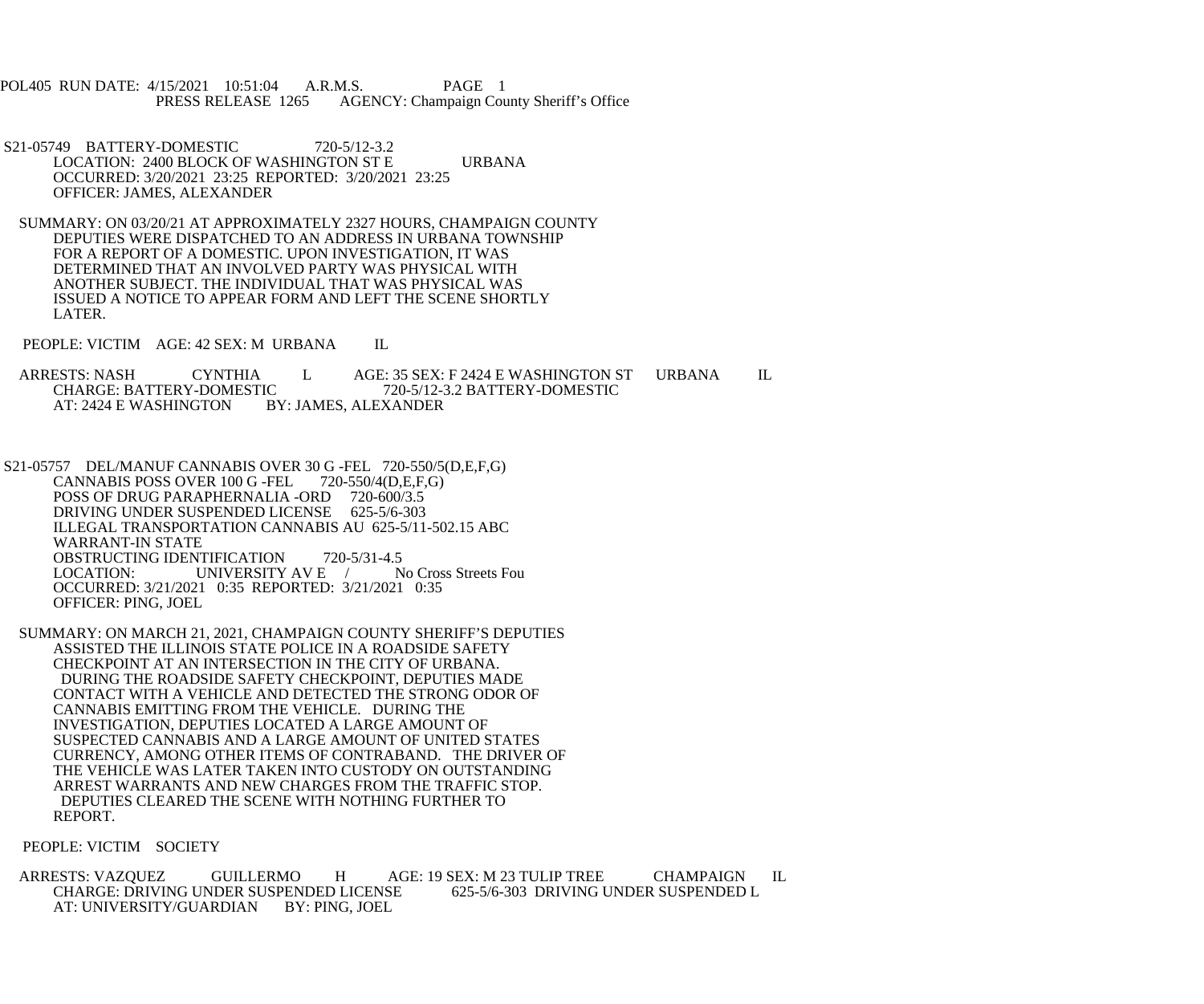POL405 RUN DATE: 4/15/2021 10:51:04 A.R.M.S. PAGE 1<br>PRESS RELEASE 1265 AGENCY: Champaign Cou AGENCY: Champaign County Sheriff's Office

- S21-05749 BATTERY-DOMESTIC 720-5/12-3.2 LOCATION: 2400 BLOCK OF WASHINGTON ST E URBANA OCCURRED: 3/20/2021 23:25 REPORTED: 3/20/2021 23:25 OFFICER: JAMES, ALEXANDER
- SUMMARY: ON 03/20/21 AT APPROXIMATELY 2327 HOURS, CHAMPAIGN COUNTY DEPUTIES WERE DISPATCHED TO AN ADDRESS IN URBANA TOWNSHIP FOR A REPORT OF A DOMESTIC. UPON INVESTIGATION, IT WAS DETERMINED THAT AN INVOLVED PARTY WAS PHYSICAL WITH ANOTHER SUBJECT. THE INDIVIDUAL THAT WAS PHYSICAL WAS ISSUED A NOTICE TO APPEAR FORM AND LEFT THE SCENE SHORTLY LATER.
- PEOPLE: VICTIM AGE: 42 SEX: M URBANA IL
- ARRESTS: NASH CYNTHIA L AGE: 35 SEX: F 2424 E WASHINGTON ST URBANA IL CHARGE: BATTERY-DOMESTIC 720-5/12-3.2 BATTERY-DOMESTIC IC 720-5/12-3.2 BATTERY-DOMESTIC<br>BY: JAMES. ALEXANDER AT: 2424 E WASHINGTON
- S21-05757 DEL/MANUF CANNABIS OVER 30 G -FEL 720-550/5(D,E,F,G)<br>CANNABIS POSS OVER 100 G -FEL 720-550/4(D,E,F,G) CANNABIS POSS OVER 100 G -FEL POSS OF DRUG PARAPHERNALIA -ORD 720-600/3.5 DRIVING UNDER SUSPENDED LICENSE 625-5/6-303 ILLEGAL TRANSPORTATION CANNABIS AU 625-5/11-502.15 ABC WARRANT-IN STATE OBSTRUCTING IDENTIFICATION 720-5/31-4.5<br>LOCATION: UNIVERSITY AV E / No Cross Streets Fou UNIVERSITY AV E  $/$  OCCURRED: 3/21/2021 0:35 REPORTED: 3/21/2021 0:35 OFFICER: PING, JOEL
- SUMMARY: ON MARCH 21, 2021, CHAMPAIGN COUNTY SHERIFF'S DEPUTIES ASSISTED THE ILLINOIS STATE POLICE IN A ROADSIDE SAFETY CHECKPOINT AT AN INTERSECTION IN THE CITY OF URBANA. DURING THE ROADSIDE SAFETY CHECKPOINT, DEPUTIES MADE CONTACT WITH A VEHICLE AND DETECTED THE STRONG ODOR OF CANNABIS EMITTING FROM THE VEHICLE. DURING THE INVESTIGATION, DEPUTIES LOCATED A LARGE AMOUNT OF SUSPECTED CANNABIS AND A LARGE AMOUNT OF UNITED STATES CURRENCY, AMONG OTHER ITEMS OF CONTRABAND. THE DRIVER OF THE VEHICLE WAS LATER TAKEN INTO CUSTODY ON OUTSTANDING ARREST WARRANTS AND NEW CHARGES FROM THE TRAFFIC STOP. DEPUTIES CLEARED THE SCENE WITH NOTHING FURTHER TO REPORT.
- PEOPLE: VICTIM SOCIETY

ARRESTS: VAZQUEZ GUILLERMO H AGE: 19 SEX: M 23 TULIP TREE CHAMPAIGN IL CHARGE: DRIVING UNDER SUSPENDED L CHARGE: DRIVING UNDER SUSPENDED LICENSE<br>AT: UNIVERSITY/GUARDIAN BY: PING. JOEL AT: UNIVERSITY/GUARDIAN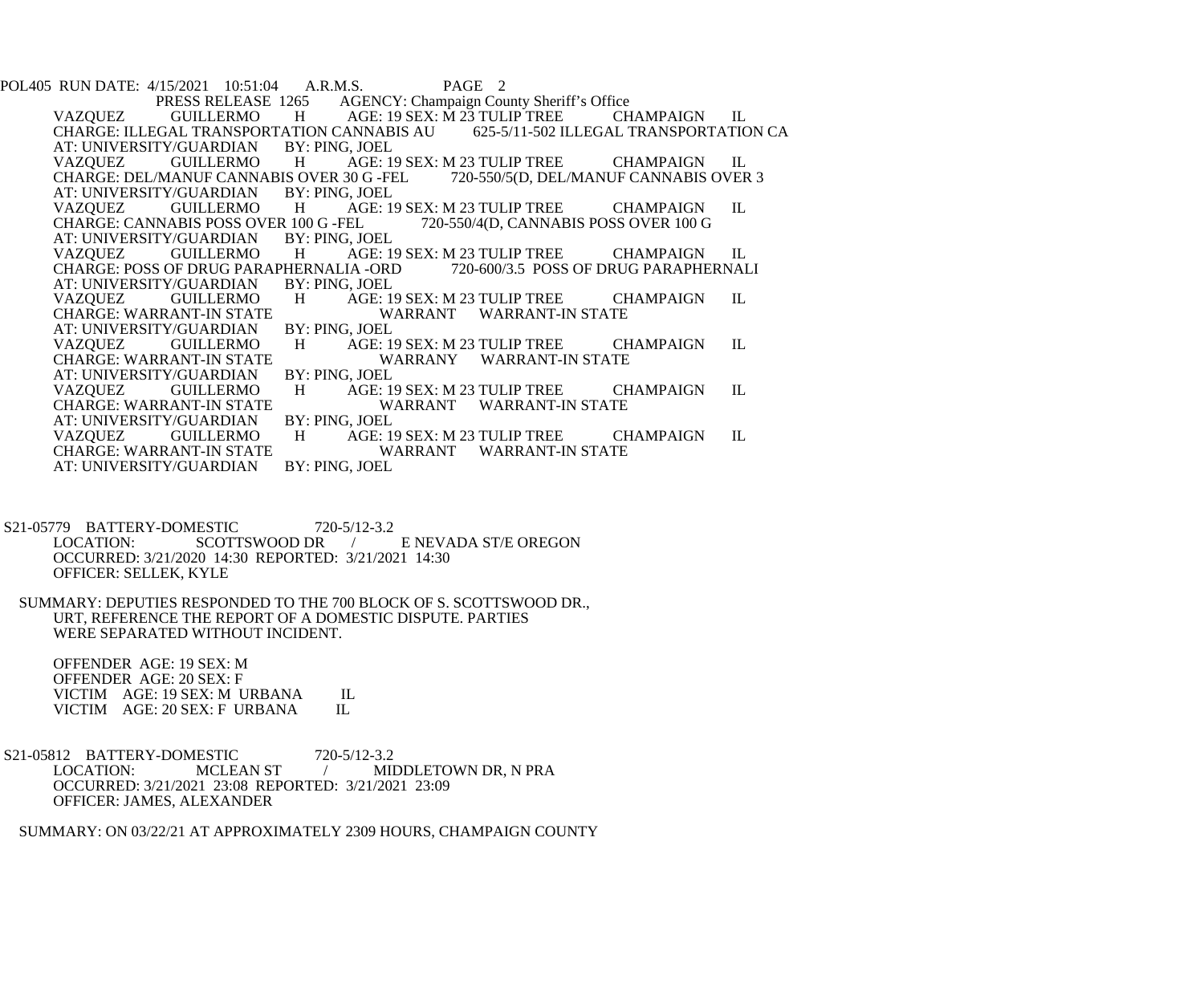POL405 RUN DATE: 4/15/2021 10:51:04 A.R.M.S. PAGE 2<br>PRESS RELEASE 1265 AGENCY: Champaign Cou Press AGENCY: Champaign County Sheriff's Office<br>
H AGE: 19 SEX: M 23 TULIP TREE CH VAZQUEZ GUILLERMO H AGE: 19 SEX: M 23 TULIP TREE CHAMPAIGN IL<br>CHARGE: ILLEGAL TRANSPORTATION CANNABIS AU 625-5/11-502 ILLEGAL TRANSPORTATION CA CHARGE: ILLEGAL TRANSPORTATION CANNABIS AU<br>AT: UNIVERSITY/GUARDIAN BY: PING. JOEL AT: UNIVERSITY/GUARDIAN<br>VAZOUEZ GUILLERMO H AGE: 19 SEX: M 23 TULIP TREE CHAMPAIGN IL<br>S OVER 30 G -FEL 720-550/5(D. DEL/MANUF CANNABIS OVER 3 CHARGE: DEL/MANUF CANNABIS OVER 30 G -FEL<br>AT: UNIVERSITY/GUARDIAN BY: PING, JOEL AT: UNIVERSITY/GUARDIAN BY:<br>VAZQUEZ GUILLERMO H AGE: 19 SEX: M 23 TULIP TREE CHAMPAIGN IL<br>EL 720-550/4(D, CANNABIS POSS OVER 100 G CHARGE: CANNABIS POSS OVER 100 G -FEL<br>AT: UNIVERSITY/GUARDIAN BY: PING, JOEL AT: UNIVERSITY/GUARDIAN BY: PING, JOEL H AGE: 19 SEX: M 23 TULIP TREE CHAMPAIGN IL<br>IERNALIA -ORD 720-600/3.5 POSS OF DRUG PARAPHERNALI CHARGE: POSS OF DRUG PARAPHERNALIA -ORD<br>AT: UNIVERSITY/GUARDIAN BY: PING. JOEL AT: UNIVERSITY/GUARDIAN BY:<br>VAZQUEZ GUILLERMO H VAZQUEZ GUILLERMO H AGE: 19 SEX: M 23 TULIP TREE CHAMPAIGN IL CHARGE: WARRANT-IN STATE WARRANT WARRANT-IN STATE<br>BY: PING. JOEL AT: UNIVERSITY/GUARDIAN VAZQUEZ GUILLERMO H AGE: 19 SEX: M 23 TULIP TREE CHAMPAIGN IL CHARGE: WARRANT-IN STATE WARRANY WARRANT-IN STATE<br>BY: PING, JOEL AT: UNIVERSITY/GUARDIAN BY:<br>VAZQUEZ GUILLERMO H VAZQUEZ GUILLERMO H AGE: 19 SEX: M 23 TULIP TREE CHAMPAIGN IL CHARGE: WARRANT WARRANT WARRANT-IN STATE WARRANT WARRANT-IN STATE<br>BY: PING. JOEL AT: UNIVERSITY/GUARDIAN<br>VAZOUEZ GUILLERMO VAZQUEZ GUILLERMO H AGE: 19 SEX: M 23 TULIP TREE CHAMPAIGN IL CHARGE: WARRANT WARRANT WARRANT-IN STATE WARRANT WARRANT-IN STATE<br>BY: PING, JOEL AT: UNIVERSITY/GUARDIAN

S21-05779 BATTERY-DOMESTIC 720-5/12-3.2<br>LOCATION: SCOTTSWOOD DR **E NEVADA ST/E OREGON**  OCCURRED: 3/21/2020 14:30 REPORTED: 3/21/2021 14:30 OFFICER: SELLEK, KYLE

 SUMMARY: DEPUTIES RESPONDED TO THE 700 BLOCK OF S. SCOTTSWOOD DR., URT, REFERENCE THE REPORT OF A DOMESTIC DISPUTE. PARTIES WERE SEPARATED WITHOUT INCIDENT.

 OFFENDER AGE: 19 SEX: M OFFENDER AGE: 20 SEX: F VICTIM AGE: 19 SEX: M URBANA IL<br>VICTIM AGE: 20 SEX: F URBANA IL VICTIM AGE: 20 SEX: F URBANA

S21-05812 BATTERY-DOMESTIC 720-5/12-3.2<br>LOCATION: MCLEAN ST / MI MIDDLETOWN DR, N PRA OCCURRED: 3/21/2021 23:08 REPORTED: 3/21/2021 23:09 OFFICER: JAMES, ALEXANDER

SUMMARY: ON 03/22/21 AT APPROXIMATELY 2309 HOURS, CHAMPAIGN COUNTY